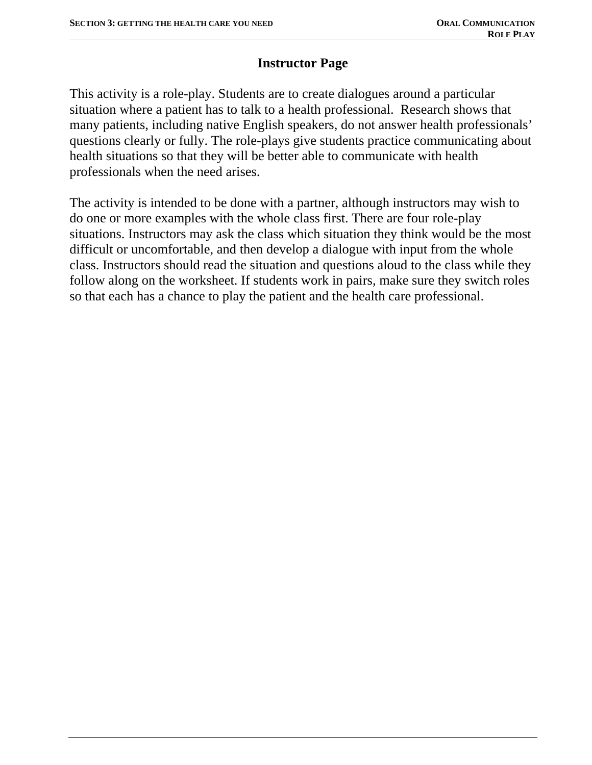## **Instructor Page**

This activity is a role-play. Students are to create dialogues around a particular situation where a patient has to talk to a health professional. Research shows that many patients, including native English speakers, do not answer health professionals' questions clearly or fully. The role-plays give students practice communicating about health situations so that they will be better able to communicate with health professionals when the need arises.

The activity is intended to be done with a partner, although instructors may wish to do one or more examples with the whole class first. There are four role-play situations. Instructors may ask the class which situation they think would be the most difficult or uncomfortable, and then develop a dialogue with input from the whole class. Instructors should read the situation and questions aloud to the class while they follow along on the worksheet. If students work in pairs, make sure they switch roles so that each has a chance to play the patient and the health care professional.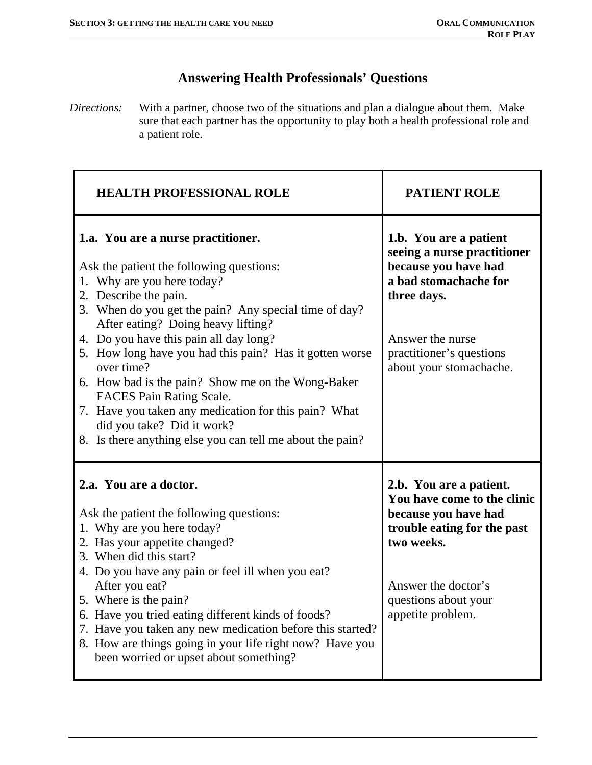## **Answering Health Professionals' Questions**

*Directions:* With a partner, choose two of the situations and plan a dialogue about them. Make sure that each partner has the opportunity to play both a health professional role and a patient role.

| <b>HEALTH PROFESSIONAL ROLE</b>                                                                                                                                                                                                                                                                                                                                                                                                                                                                                                                                                             | <b>PATIENT ROLE</b>                                                                                                                                                                              |
|---------------------------------------------------------------------------------------------------------------------------------------------------------------------------------------------------------------------------------------------------------------------------------------------------------------------------------------------------------------------------------------------------------------------------------------------------------------------------------------------------------------------------------------------------------------------------------------------|--------------------------------------------------------------------------------------------------------------------------------------------------------------------------------------------------|
| 1.a. You are a nurse practitioner.<br>Ask the patient the following questions:<br>1. Why are you here today?<br>2. Describe the pain.<br>3. When do you get the pain? Any special time of day?<br>After eating? Doing heavy lifting?<br>4. Do you have this pain all day long?<br>5. How long have you had this pain? Has it gotten worse<br>over time?<br>6. How bad is the pain? Show me on the Wong-Baker<br>FACES Pain Rating Scale.<br>7. Have you taken any medication for this pain? What<br>did you take? Did it work?<br>8. Is there anything else you can tell me about the pain? | 1.b. You are a patient<br>seeing a nurse practitioner<br>because you have had<br>a bad stomachache for<br>three days.<br>Answer the nurse<br>practitioner's questions<br>about your stomachache. |
| 2.a. You are a doctor.<br>Ask the patient the following questions:<br>1. Why are you here today?<br>2. Has your appetite changed?<br>3. When did this start?<br>4. Do you have any pain or feel ill when you eat?<br>After you eat?<br>5. Where is the pain?<br>6. Have you tried eating different kinds of foods?<br>7. Have you taken any new medication before this started?<br>8. How are things going in your life right now? Have you<br>been worried or upset about something?                                                                                                       | 2.b. You are a patient.<br>You have come to the clinic<br>because you have had<br>trouble eating for the past<br>two weeks.<br>Answer the doctor's<br>questions about your<br>appetite problem.  |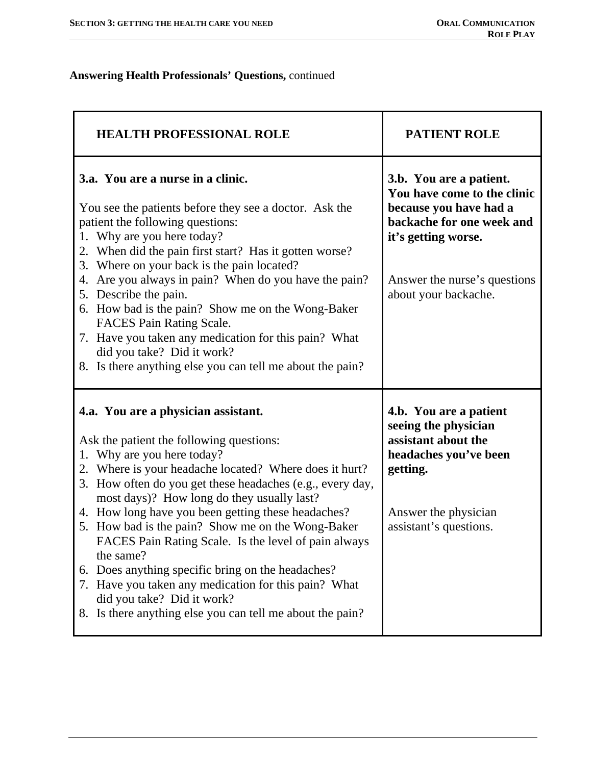## **Answering Health Professionals' Questions,** continued

| <b>HEALTH PROFESSIONAL ROLE</b>                                                                                                                                                                                                                                                                                                                                                                                                                                                                                                                                                                                                                                                              | <b>PATIENT ROLE</b>                                                                                                                                                                          |
|----------------------------------------------------------------------------------------------------------------------------------------------------------------------------------------------------------------------------------------------------------------------------------------------------------------------------------------------------------------------------------------------------------------------------------------------------------------------------------------------------------------------------------------------------------------------------------------------------------------------------------------------------------------------------------------------|----------------------------------------------------------------------------------------------------------------------------------------------------------------------------------------------|
| 3.a. You are a nurse in a clinic.<br>You see the patients before they see a doctor. Ask the<br>patient the following questions:<br>Why are you here today?<br>1.<br>When did the pain first start? Has it gotten worse?<br>2.<br>Where on your back is the pain located?<br>3.<br>Are you always in pain? When do you have the pain?<br>4.<br>5. Describe the pain.<br>6. How bad is the pain? Show me on the Wong-Baker<br>FACES Pain Rating Scale.<br>7. Have you taken any medication for this pain? What<br>did you take? Did it work?<br>8. Is there anything else you can tell me about the pain?                                                                                      | 3.b. You are a patient.<br>You have come to the clinic<br>because you have had a<br>backache for one week and<br>it's getting worse.<br>Answer the nurse's questions<br>about your backache. |
| 4.a. You are a physician assistant.<br>Ask the patient the following questions:<br>Why are you here today?<br>1.<br>Where is your headache located? Where does it hurt?<br>2.<br>How often do you get these headaches (e.g., every day,<br>3.<br>most days)? How long do they usually last?<br>4. How long have you been getting these headaches?<br>5. How bad is the pain? Show me on the Wong-Baker<br>FACES Pain Rating Scale. Is the level of pain always<br>the same?<br>Does anything specific bring on the headaches?<br>6.<br>Have you taken any medication for this pain? What<br>7.<br>did you take? Did it work?<br>Is there anything else you can tell me about the pain?<br>8. | 4.b. You are a patient<br>seeing the physician<br>assistant about the<br>headaches you've been<br>getting.<br>Answer the physician<br>assistant's questions.                                 |